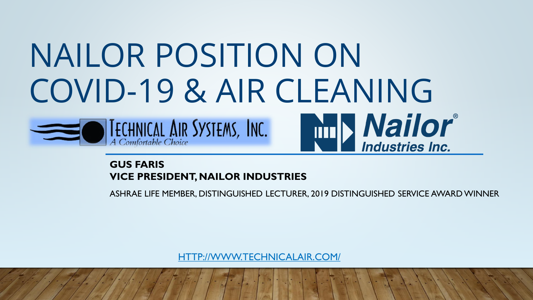# NAILOR POSITION ON COVID-19 & AIR CLEANING **Nailor**<br>Industries Inc.  $\bullet$  **IECHNICAL AIR SYSTEMS, INC.**

#### **GUS FARIS VICE PRESIDENT, NAILOR INDUSTRIES**

ASHRAE LIFE MEMBER, DISTINGUISHED LECTURER, 2019 DISTINGUISHED SERVICE AWARD WINNER

[HTTP://WWW.TECHNICALAIR.COM/](http://www.technicalair.com/)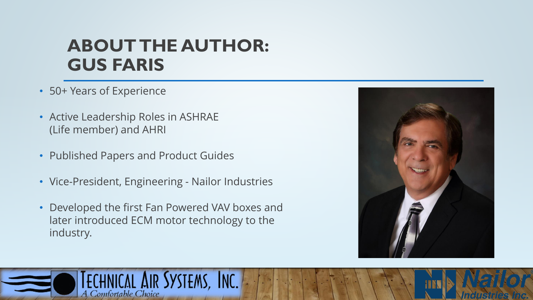# **ABOUT THE AUTHOR: GUS FARIS**

- 50+ Years of Experience
- Active Leadership Roles in ASHRAE (Life member) and AHRI
- Published Papers and Product Guides
- Vice-President, Engineering Nailor Industries
- Developed the first Fan Powered VAV boxes and later introduced ECM motor technology to the industry.



**Industries** 

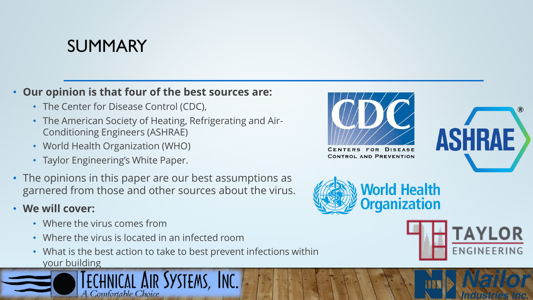# SUMMARY

#### • **Our opinion is that four of the best sources are:**

- The Center for Disease Control (CDC),
- The American Society of Heating, Refrigerating and Air-Conditioning Engineers (ASHRAE)
- World Health Organization (WHO)
- Taylor Engineering's White Paper.
- The opinions in this paper are our best assumptions as garnered from those and other sources about the virus.
- **We will cover:**
	- Where the virus comes from
	- Where the virus is located in an infected room
	- What is the best action to take to best prevent infections within your building





FOR DISEASE **ENTERS CONTROL AND PREVENTION** 





*Industri* 

ASHRA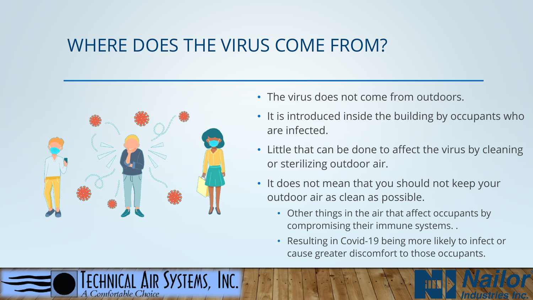# WHERE DOES THE VIRUS COME FROM?



Comfortable Choice

- The virus does not come from outdoors.
- It is introduced inside the building by occupants who are infected.
- Little that can be done to affect the virus by cleaning or sterilizing outdoor air.
- It does not mean that you should not keep your outdoor air as clean as possible.
	- Other things in the air that affect occupants by compromising their immune systems. .
	- Resulting in Covid-19 being more likely to infect or cause greater discomfort to those occupants.

molusid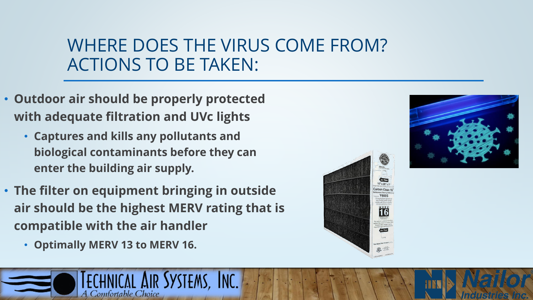# WHERE DOES THE VIRUS COME FROM? ACTIONS TO BE TAKEN:

- **Outdoor air should be properly protected with adequate filtration and UVc lights** 
	- **Captures and kills any pollutants and biological contaminants before they can enter the building air supply.**
- **The filter on equipment bringing in outside air should be the highest MERV rating that is compatible with the air handler**
	- **Optimally MERV 13 to MERV 16.**





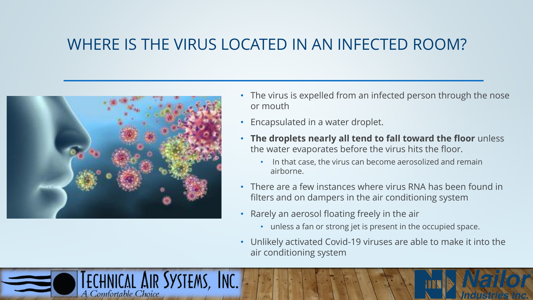#### WHERE IS THE VIRUS LOCATED IN AN INFECTED ROOM?



Comfortable Choice

chnical Air Systems, Inc.

- The virus is expelled from an infected person through the nose or mouth
- Encapsulated in a water droplet.
- **The droplets nearly all tend to fall toward the floor** unless the water evaporates before the virus hits the floor.
	- In that case, the virus can become aerosolized and remain airborne.
- There are a few instances where virus RNA has been found in filters and on dampers in the air conditioning system
- Rarely an aerosol floating freely in the air
	- unless a fan or strong jet is present in the occupied space.
- Unlikely activated Covid-19 viruses are able to make it into the air conditioning system

Ingilski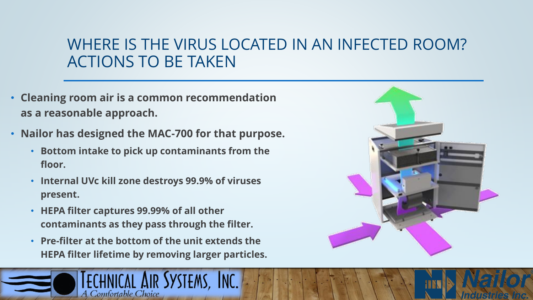### WHERE IS THE VIRUS LOCATED IN AN INFECTED ROOM? ACTIONS TO BE TAKEN

- **Cleaning room air is a common recommendation as a reasonable approach.**
- **Nailor has designed the MAC-700 for that purpose.** 
	- **Bottom intake to pick up contaminants from the floor.**
	- **Internal UVc kill zone destroys 99.9% of viruses present.**
	- **HEPA filter captures 99.99% of all other contaminants as they pass through the filter.**
	- **Pre-filter at the bottom of the unit extends the HEPA filter lifetime by removing larger particles.**





*Induskil*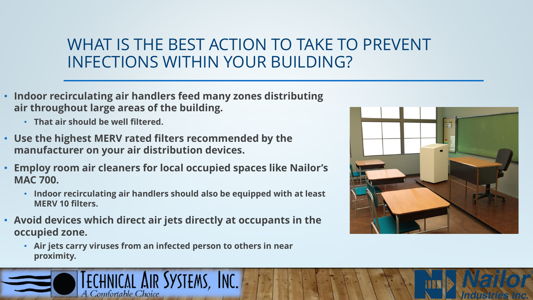# WHAT IS THE BEST ACTION TO TAKE TO PREVENT INFECTIONS WITHIN YOUR BUILDING?

- **Indoor recirculating air handlers feed many zones distributing air throughout large areas of the building.** 
	- **That air should be well filtered.**
- **Use the highest MERV rated filters recommended by the manufacturer on your air distribution devices.**
- **Employ room air cleaners for local occupied spaces like Nailor's MAC 700.** 
	- **Indoor recirculating air handlers should also be equipped with at least MERV 10 filters.**
- **Avoid devices which direct air jets directly at occupants in the occupied zone.**
	- **Air jets carry viruses from an infected person to others in near proximity.**





Industries